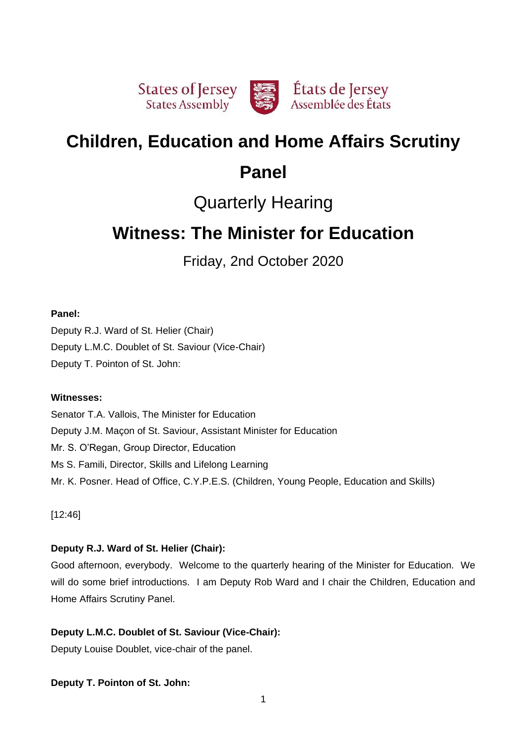

# **Children, Education and Home Affairs Scrutiny**

# **Panel**

# Quarterly Hearing

# **Witness: The Minister for Education**

Friday, 2nd October 2020

# **Panel:**

Deputy R.J. Ward of St. Helier (Chair) Deputy L.M.C. Doublet of St. Saviour (Vice-Chair) Deputy T. Pointon of St. John:

# **Witnesses:**

Senator T.A. Vallois, The Minister for Education Deputy J.M. Maçon of St. Saviour, Assistant Minister for Education Mr. S. O'Regan, Group Director, Education Ms S. Famili, Director, Skills and Lifelong Learning Mr. K. Posner. Head of Office, C.Y.P.E.S. (Children, Young People, Education and Skills)

[12:46]

# **Deputy R.J. Ward of St. Helier (Chair):**

Good afternoon, everybody. Welcome to the quarterly hearing of the Minister for Education. We will do some brief introductions. I am Deputy Rob Ward and I chair the Children, Education and Home Affairs Scrutiny Panel.

# **Deputy L.M.C. Doublet of St. Saviour (Vice-Chair):**

Deputy Louise Doublet, vice-chair of the panel.

# **Deputy T. Pointon of St. John:**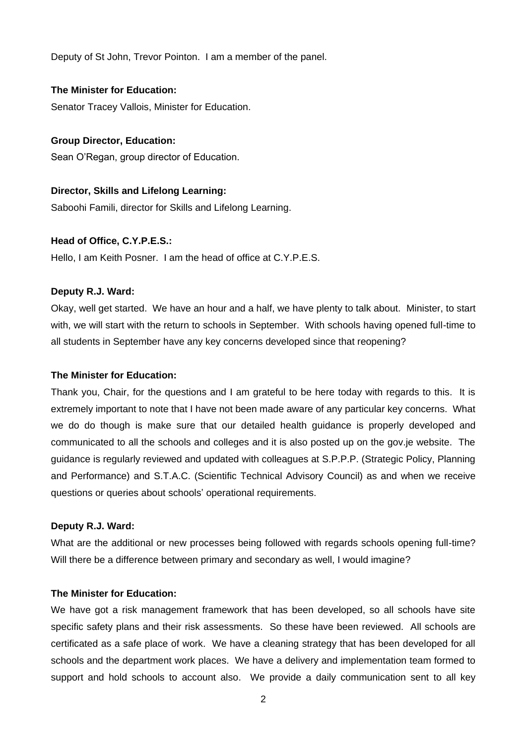Deputy of St John, Trevor Pointon. I am a member of the panel.

#### **The Minister for Education:**

Senator Tracey Vallois, Minister for Education.

## **Group Director, Education:**

Sean O'Regan, group director of Education.

# **Director, Skills and Lifelong Learning:**

Saboohi Famili, director for Skills and Lifelong Learning.

## **Head of Office, C.Y.P.E.S.:**

Hello, I am Keith Posner. I am the head of office at C.Y.P.E.S.

#### **Deputy R.J. Ward:**

Okay, well get started. We have an hour and a half, we have plenty to talk about. Minister, to start with, we will start with the return to schools in September. With schools having opened full-time to all students in September have any key concerns developed since that reopening?

#### **The Minister for Education:**

Thank you, Chair, for the questions and I am grateful to be here today with regards to this. It is extremely important to note that I have not been made aware of any particular key concerns. What we do do though is make sure that our detailed health guidance is properly developed and communicated to all the schools and colleges and it is also posted up on the gov.je website. The guidance is regularly reviewed and updated with colleagues at S.P.P.P. (Strategic Policy, Planning and Performance) and S.T.A.C. (Scientific Technical Advisory Council) as and when we receive questions or queries about schools' operational requirements.

## **Deputy R.J. Ward:**

What are the additional or new processes being followed with regards schools opening full-time? Will there be a difference between primary and secondary as well, I would imagine?

### **The Minister for Education:**

We have got a risk management framework that has been developed, so all schools have site specific safety plans and their risk assessments. So these have been reviewed. All schools are certificated as a safe place of work. We have a cleaning strategy that has been developed for all schools and the department work places. We have a delivery and implementation team formed to support and hold schools to account also. We provide a daily communication sent to all key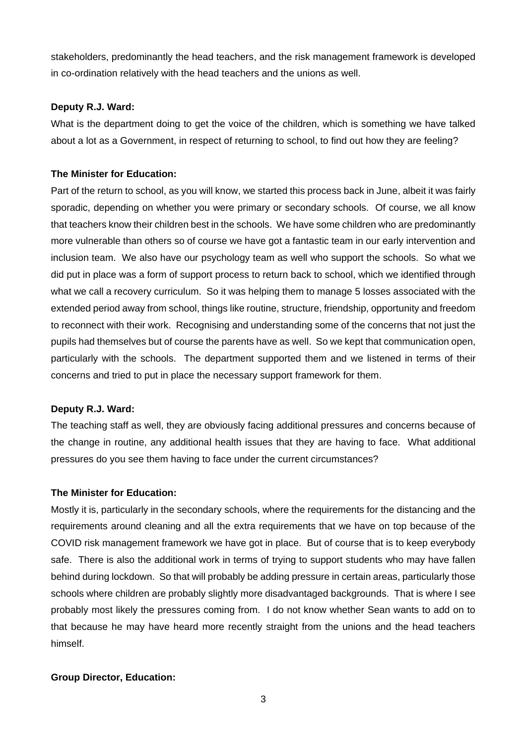stakeholders, predominantly the head teachers, and the risk management framework is developed in co-ordination relatively with the head teachers and the unions as well.

## **Deputy R.J. Ward:**

What is the department doing to get the voice of the children, which is something we have talked about a lot as a Government, in respect of returning to school, to find out how they are feeling?

## **The Minister for Education:**

Part of the return to school, as you will know, we started this process back in June, albeit it was fairly sporadic, depending on whether you were primary or secondary schools. Of course, we all know that teachers know their children best in the schools. We have some children who are predominantly more vulnerable than others so of course we have got a fantastic team in our early intervention and inclusion team. We also have our psychology team as well who support the schools. So what we did put in place was a form of support process to return back to school, which we identified through what we call a recovery curriculum. So it was helping them to manage 5 losses associated with the extended period away from school, things like routine, structure, friendship, opportunity and freedom to reconnect with their work. Recognising and understanding some of the concerns that not just the pupils had themselves but of course the parents have as well. So we kept that communication open, particularly with the schools. The department supported them and we listened in terms of their concerns and tried to put in place the necessary support framework for them.

## **Deputy R.J. Ward:**

The teaching staff as well, they are obviously facing additional pressures and concerns because of the change in routine, any additional health issues that they are having to face. What additional pressures do you see them having to face under the current circumstances?

## **The Minister for Education:**

Mostly it is, particularly in the secondary schools, where the requirements for the distancing and the requirements around cleaning and all the extra requirements that we have on top because of the COVID risk management framework we have got in place. But of course that is to keep everybody safe. There is also the additional work in terms of trying to support students who may have fallen behind during lockdown. So that will probably be adding pressure in certain areas, particularly those schools where children are probably slightly more disadvantaged backgrounds. That is where I see probably most likely the pressures coming from. I do not know whether Sean wants to add on to that because he may have heard more recently straight from the unions and the head teachers himself.

## **Group Director, Education:**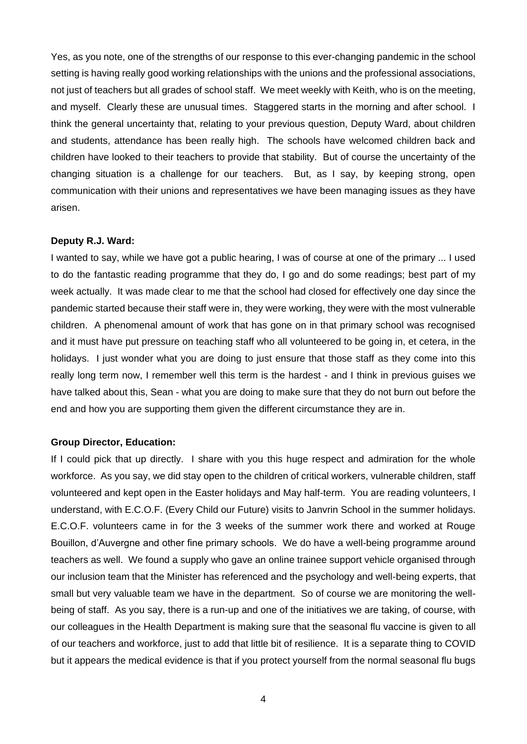Yes, as you note, one of the strengths of our response to this ever-changing pandemic in the school setting is having really good working relationships with the unions and the professional associations, not just of teachers but all grades of school staff. We meet weekly with Keith, who is on the meeting, and myself. Clearly these are unusual times. Staggered starts in the morning and after school. I think the general uncertainty that, relating to your previous question, Deputy Ward, about children and students, attendance has been really high. The schools have welcomed children back and children have looked to their teachers to provide that stability. But of course the uncertainty of the changing situation is a challenge for our teachers. But, as I say, by keeping strong, open communication with their unions and representatives we have been managing issues as they have arisen.

#### **Deputy R.J. Ward:**

I wanted to say, while we have got a public hearing, I was of course at one of the primary ... I used to do the fantastic reading programme that they do, I go and do some readings; best part of my week actually. It was made clear to me that the school had closed for effectively one day since the pandemic started because their staff were in, they were working, they were with the most vulnerable children. A phenomenal amount of work that has gone on in that primary school was recognised and it must have put pressure on teaching staff who all volunteered to be going in, et cetera, in the holidays. I just wonder what you are doing to just ensure that those staff as they come into this really long term now, I remember well this term is the hardest - and I think in previous guises we have talked about this, Sean - what you are doing to make sure that they do not burn out before the end and how you are supporting them given the different circumstance they are in.

#### **Group Director, Education:**

If I could pick that up directly. I share with you this huge respect and admiration for the whole workforce. As you say, we did stay open to the children of critical workers, vulnerable children, staff volunteered and kept open in the Easter holidays and May half-term. You are reading volunteers, I understand, with E.C.O.F. (Every Child our Future) visits to Janvrin School in the summer holidays. E.C.O.F. volunteers came in for the 3 weeks of the summer work there and worked at Rouge Bouillon, d'Auvergne and other fine primary schools. We do have a well-being programme around teachers as well. We found a supply who gave an online trainee support vehicle organised through our inclusion team that the Minister has referenced and the psychology and well-being experts, that small but very valuable team we have in the department. So of course we are monitoring the wellbeing of staff. As you say, there is a run-up and one of the initiatives we are taking, of course, with our colleagues in the Health Department is making sure that the seasonal flu vaccine is given to all of our teachers and workforce, just to add that little bit of resilience. It is a separate thing to COVID but it appears the medical evidence is that if you protect yourself from the normal seasonal flu bugs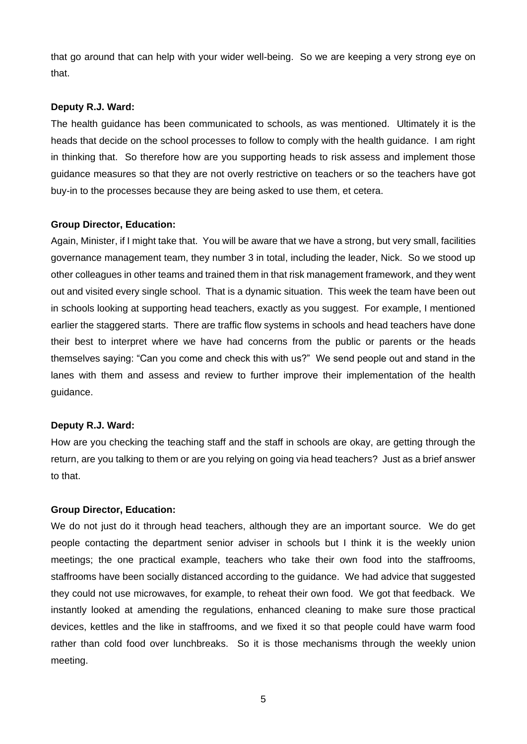that go around that can help with your wider well-being. So we are keeping a very strong eye on that.

### **Deputy R.J. Ward:**

The health guidance has been communicated to schools, as was mentioned. Ultimately it is the heads that decide on the school processes to follow to comply with the health guidance. I am right in thinking that. So therefore how are you supporting heads to risk assess and implement those guidance measures so that they are not overly restrictive on teachers or so the teachers have got buy-in to the processes because they are being asked to use them, et cetera.

#### **Group Director, Education:**

Again, Minister, if I might take that. You will be aware that we have a strong, but very small, facilities governance management team, they number 3 in total, including the leader, Nick. So we stood up other colleagues in other teams and trained them in that risk management framework, and they went out and visited every single school. That is a dynamic situation. This week the team have been out in schools looking at supporting head teachers, exactly as you suggest. For example, I mentioned earlier the staggered starts. There are traffic flow systems in schools and head teachers have done their best to interpret where we have had concerns from the public or parents or the heads themselves saying: "Can you come and check this with us?" We send people out and stand in the lanes with them and assess and review to further improve their implementation of the health guidance.

#### **Deputy R.J. Ward:**

How are you checking the teaching staff and the staff in schools are okay, are getting through the return, are you talking to them or are you relying on going via head teachers? Just as a brief answer to that.

## **Group Director, Education:**

We do not just do it through head teachers, although they are an important source. We do get people contacting the department senior adviser in schools but I think it is the weekly union meetings; the one practical example, teachers who take their own food into the staffrooms, staffrooms have been socially distanced according to the guidance. We had advice that suggested they could not use microwaves, for example, to reheat their own food. We got that feedback. We instantly looked at amending the regulations, enhanced cleaning to make sure those practical devices, kettles and the like in staffrooms, and we fixed it so that people could have warm food rather than cold food over lunchbreaks. So it is those mechanisms through the weekly union meeting.

5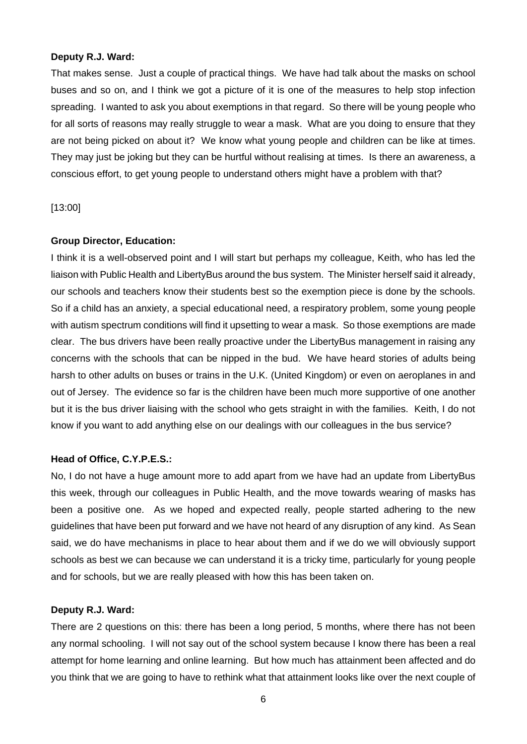### **Deputy R.J. Ward:**

That makes sense. Just a couple of practical things. We have had talk about the masks on school buses and so on, and I think we got a picture of it is one of the measures to help stop infection spreading. I wanted to ask you about exemptions in that regard. So there will be young people who for all sorts of reasons may really struggle to wear a mask. What are you doing to ensure that they are not being picked on about it? We know what young people and children can be like at times. They may just be joking but they can be hurtful without realising at times. Is there an awareness, a conscious effort, to get young people to understand others might have a problem with that?

## [13:00]

#### **Group Director, Education:**

I think it is a well-observed point and I will start but perhaps my colleague, Keith, who has led the liaison with Public Health and LibertyBus around the bus system. The Minister herself said it already, our schools and teachers know their students best so the exemption piece is done by the schools. So if a child has an anxiety, a special educational need, a respiratory problem, some young people with autism spectrum conditions will find it upsetting to wear a mask. So those exemptions are made clear. The bus drivers have been really proactive under the LibertyBus management in raising any concerns with the schools that can be nipped in the bud. We have heard stories of adults being harsh to other adults on buses or trains in the U.K. (United Kingdom) or even on aeroplanes in and out of Jersey. The evidence so far is the children have been much more supportive of one another but it is the bus driver liaising with the school who gets straight in with the families. Keith, I do not know if you want to add anything else on our dealings with our colleagues in the bus service?

## **Head of Office, C.Y.P.E.S.:**

No, I do not have a huge amount more to add apart from we have had an update from LibertyBus this week, through our colleagues in Public Health, and the move towards wearing of masks has been a positive one. As we hoped and expected really, people started adhering to the new guidelines that have been put forward and we have not heard of any disruption of any kind. As Sean said, we do have mechanisms in place to hear about them and if we do we will obviously support schools as best we can because we can understand it is a tricky time, particularly for young people and for schools, but we are really pleased with how this has been taken on.

#### **Deputy R.J. Ward:**

There are 2 questions on this: there has been a long period, 5 months, where there has not been any normal schooling. I will not say out of the school system because I know there has been a real attempt for home learning and online learning. But how much has attainment been affected and do you think that we are going to have to rethink what that attainment looks like over the next couple of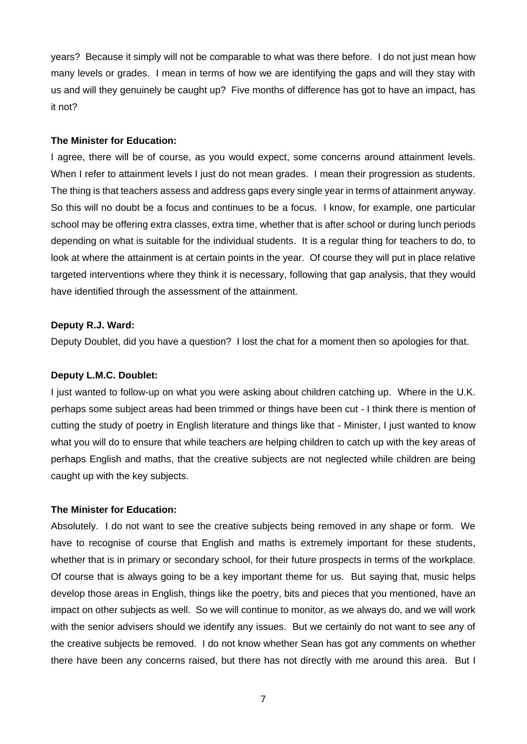years? Because it simply will not be comparable to what was there before. I do not just mean how many levels or grades. I mean in terms of how we are identifying the gaps and will they stay with us and will they genuinely be caught up? Five months of difference has got to have an impact, has it not?

## **The Minister for Education:**

I agree, there will be of course, as you would expect, some concerns around attainment levels. When I refer to attainment levels I just do not mean grades. I mean their progression as students. The thing is that teachers assess and address gaps every single year in terms of attainment anyway. So this will no doubt be a focus and continues to be a focus. I know, for example, one particular school may be offering extra classes, extra time, whether that is after school or during lunch periods depending on what is suitable for the individual students. It is a regular thing for teachers to do, to look at where the attainment is at certain points in the year. Of course they will put in place relative targeted interventions where they think it is necessary, following that gap analysis, that they would have identified through the assessment of the attainment.

## **Deputy R.J. Ward:**

Deputy Doublet, did you have a question? I lost the chat for a moment then so apologies for that.

### **Deputy L.M.C. Doublet:**

I just wanted to follow-up on what you were asking about children catching up. Where in the U.K. perhaps some subject areas had been trimmed or things have been cut - I think there is mention of cutting the study of poetry in English literature and things like that - Minister, I just wanted to know what you will do to ensure that while teachers are helping children to catch up with the key areas of perhaps English and maths, that the creative subjects are not neglected while children are being caught up with the key subjects.

## **The Minister for Education:**

Absolutely. I do not want to see the creative subjects being removed in any shape or form. We have to recognise of course that English and maths is extremely important for these students, whether that is in primary or secondary school, for their future prospects in terms of the workplace. Of course that is always going to be a key important theme for us. But saying that, music helps develop those areas in English, things like the poetry, bits and pieces that you mentioned, have an impact on other subjects as well. So we will continue to monitor, as we always do, and we will work with the senior advisers should we identify any issues. But we certainly do not want to see any of the creative subjects be removed. I do not know whether Sean has got any comments on whether there have been any concerns raised, but there has not directly with me around this area. But I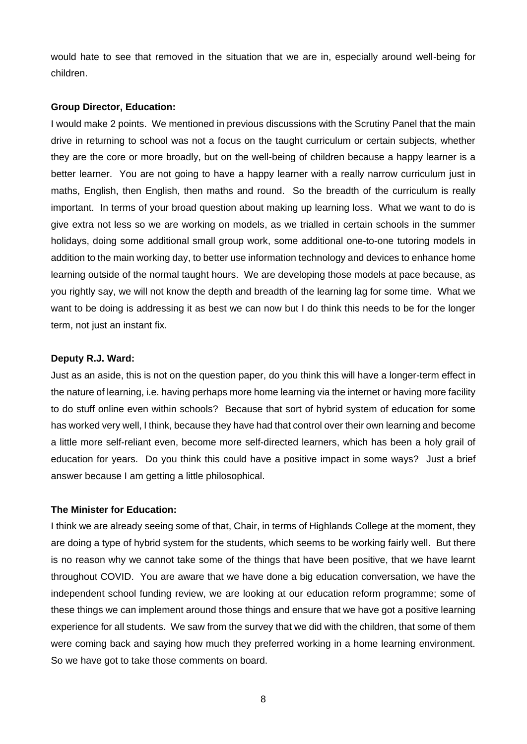would hate to see that removed in the situation that we are in, especially around well-being for children.

### **Group Director, Education:**

I would make 2 points. We mentioned in previous discussions with the Scrutiny Panel that the main drive in returning to school was not a focus on the taught curriculum or certain subjects, whether they are the core or more broadly, but on the well-being of children because a happy learner is a better learner. You are not going to have a happy learner with a really narrow curriculum just in maths, English, then English, then maths and round. So the breadth of the curriculum is really important. In terms of your broad question about making up learning loss. What we want to do is give extra not less so we are working on models, as we trialled in certain schools in the summer holidays, doing some additional small group work, some additional one-to-one tutoring models in addition to the main working day, to better use information technology and devices to enhance home learning outside of the normal taught hours. We are developing those models at pace because, as you rightly say, we will not know the depth and breadth of the learning lag for some time. What we want to be doing is addressing it as best we can now but I do think this needs to be for the longer term, not just an instant fix.

## **Deputy R.J. Ward:**

Just as an aside, this is not on the question paper, do you think this will have a longer-term effect in the nature of learning, i.e. having perhaps more home learning via the internet or having more facility to do stuff online even within schools? Because that sort of hybrid system of education for some has worked very well, I think, because they have had that control over their own learning and become a little more self-reliant even, become more self-directed learners, which has been a holy grail of education for years. Do you think this could have a positive impact in some ways? Just a brief answer because I am getting a little philosophical.

## **The Minister for Education:**

I think we are already seeing some of that, Chair, in terms of Highlands College at the moment, they are doing a type of hybrid system for the students, which seems to be working fairly well. But there is no reason why we cannot take some of the things that have been positive, that we have learnt throughout COVID. You are aware that we have done a big education conversation, we have the independent school funding review, we are looking at our education reform programme; some of these things we can implement around those things and ensure that we have got a positive learning experience for all students. We saw from the survey that we did with the children, that some of them were coming back and saying how much they preferred working in a home learning environment. So we have got to take those comments on board.

8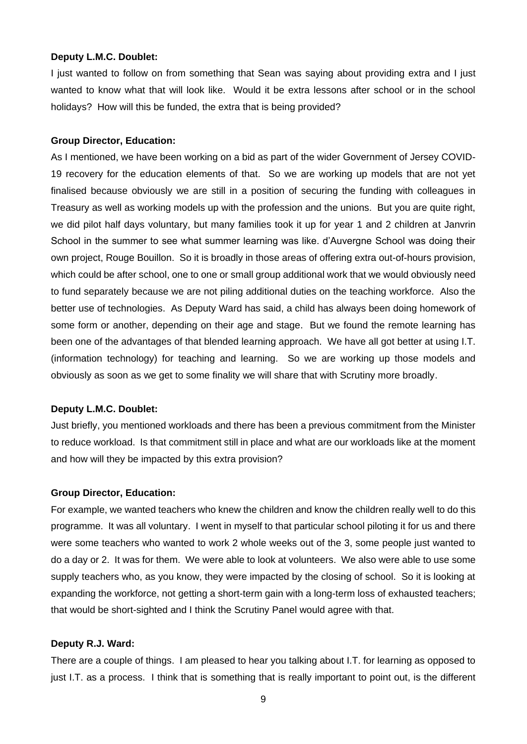#### **Deputy L.M.C. Doublet:**

I just wanted to follow on from something that Sean was saying about providing extra and I just wanted to know what that will look like. Would it be extra lessons after school or in the school holidays? How will this be funded, the extra that is being provided?

#### **Group Director, Education:**

As I mentioned, we have been working on a bid as part of the wider Government of Jersey COVID-19 recovery for the education elements of that. So we are working up models that are not yet finalised because obviously we are still in a position of securing the funding with colleagues in Treasury as well as working models up with the profession and the unions. But you are quite right, we did pilot half days voluntary, but many families took it up for year 1 and 2 children at Janvrin School in the summer to see what summer learning was like. d'Auvergne School was doing their own project, Rouge Bouillon. So it is broadly in those areas of offering extra out-of-hours provision, which could be after school, one to one or small group additional work that we would obviously need to fund separately because we are not piling additional duties on the teaching workforce. Also the better use of technologies. As Deputy Ward has said, a child has always been doing homework of some form or another, depending on their age and stage. But we found the remote learning has been one of the advantages of that blended learning approach. We have all got better at using I.T. (information technology) for teaching and learning. So we are working up those models and obviously as soon as we get to some finality we will share that with Scrutiny more broadly.

#### **Deputy L.M.C. Doublet:**

Just briefly, you mentioned workloads and there has been a previous commitment from the Minister to reduce workload. Is that commitment still in place and what are our workloads like at the moment and how will they be impacted by this extra provision?

#### **Group Director, Education:**

For example, we wanted teachers who knew the children and know the children really well to do this programme. It was all voluntary. I went in myself to that particular school piloting it for us and there were some teachers who wanted to work 2 whole weeks out of the 3, some people just wanted to do a day or 2. It was for them. We were able to look at volunteers. We also were able to use some supply teachers who, as you know, they were impacted by the closing of school. So it is looking at expanding the workforce, not getting a short-term gain with a long-term loss of exhausted teachers; that would be short-sighted and I think the Scrutiny Panel would agree with that.

#### **Deputy R.J. Ward:**

There are a couple of things. I am pleased to hear you talking about I.T. for learning as opposed to just I.T. as a process. I think that is something that is really important to point out, is the different

9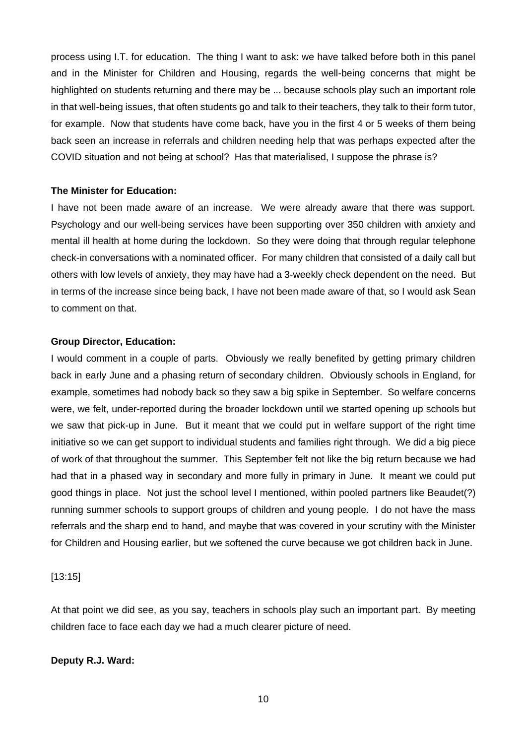process using I.T. for education. The thing I want to ask: we have talked before both in this panel and in the Minister for Children and Housing, regards the well-being concerns that might be highlighted on students returning and there may be ... because schools play such an important role in that well-being issues, that often students go and talk to their teachers, they talk to their form tutor, for example. Now that students have come back, have you in the first 4 or 5 weeks of them being back seen an increase in referrals and children needing help that was perhaps expected after the COVID situation and not being at school? Has that materialised, I suppose the phrase is?

## **The Minister for Education:**

I have not been made aware of an increase. We were already aware that there was support. Psychology and our well-being services have been supporting over 350 children with anxiety and mental ill health at home during the lockdown. So they were doing that through regular telephone check-in conversations with a nominated officer. For many children that consisted of a daily call but others with low levels of anxiety, they may have had a 3-weekly check dependent on the need. But in terms of the increase since being back, I have not been made aware of that, so I would ask Sean to comment on that.

#### **Group Director, Education:**

I would comment in a couple of parts. Obviously we really benefited by getting primary children back in early June and a phasing return of secondary children. Obviously schools in England, for example, sometimes had nobody back so they saw a big spike in September. So welfare concerns were, we felt, under-reported during the broader lockdown until we started opening up schools but we saw that pick-up in June. But it meant that we could put in welfare support of the right time initiative so we can get support to individual students and families right through. We did a big piece of work of that throughout the summer. This September felt not like the big return because we had had that in a phased way in secondary and more fully in primary in June. It meant we could put good things in place. Not just the school level I mentioned, within pooled partners like Beaudet(?) running summer schools to support groups of children and young people. I do not have the mass referrals and the sharp end to hand, and maybe that was covered in your scrutiny with the Minister for Children and Housing earlier, but we softened the curve because we got children back in June.

## [13:15]

At that point we did see, as you say, teachers in schools play such an important part. By meeting children face to face each day we had a much clearer picture of need.

## **Deputy R.J. Ward:**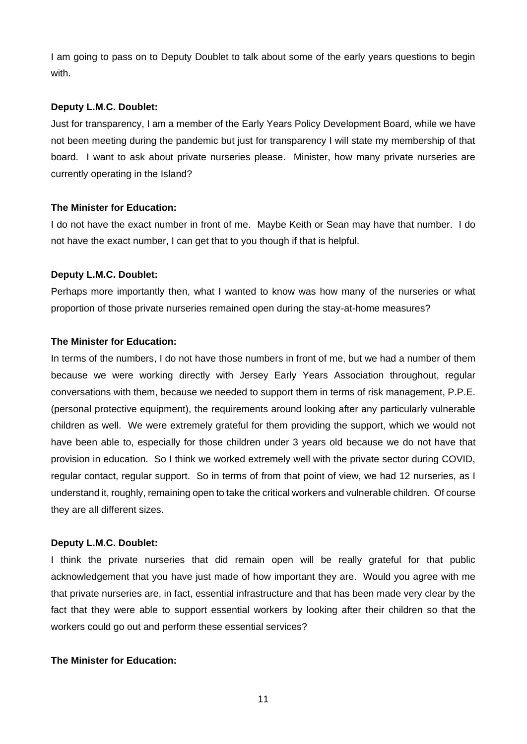I am going to pass on to Deputy Doublet to talk about some of the early years questions to begin with.

## **Deputy L.M.C. Doublet:**

Just for transparency, I am a member of the Early Years Policy Development Board, while we have not been meeting during the pandemic but just for transparency I will state my membership of that board. I want to ask about private nurseries please. Minister, how many private nurseries are currently operating in the Island?

## **The Minister for Education:**

I do not have the exact number in front of me. Maybe Keith or Sean may have that number. I do not have the exact number, I can get that to you though if that is helpful.

## **Deputy L.M.C. Doublet:**

Perhaps more importantly then, what I wanted to know was how many of the nurseries or what proportion of those private nurseries remained open during the stay-at-home measures?

## **The Minister for Education:**

In terms of the numbers, I do not have those numbers in front of me, but we had a number of them because we were working directly with Jersey Early Years Association throughout, regular conversations with them, because we needed to support them in terms of risk management, P.P.E. (personal protective equipment), the requirements around looking after any particularly vulnerable children as well. We were extremely grateful for them providing the support, which we would not have been able to, especially for those children under 3 years old because we do not have that provision in education. So I think we worked extremely well with the private sector during COVID, regular contact, regular support. So in terms of from that point of view, we had 12 nurseries, as I understand it, roughly, remaining open to take the critical workers and vulnerable children. Of course they are all different sizes.

## **Deputy L.M.C. Doublet:**

I think the private nurseries that did remain open will be really grateful for that public acknowledgement that you have just made of how important they are. Would you agree with me that private nurseries are, in fact, essential infrastructure and that has been made very clear by the fact that they were able to support essential workers by looking after their children so that the workers could go out and perform these essential services?

## **The Minister for Education:**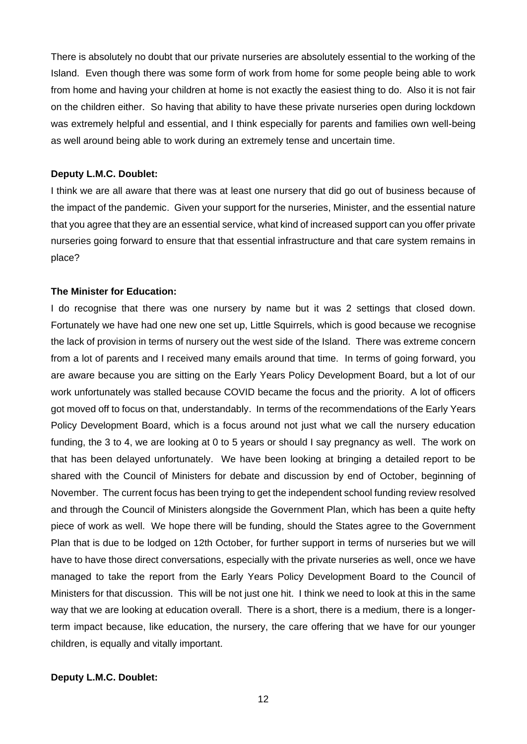There is absolutely no doubt that our private nurseries are absolutely essential to the working of the Island. Even though there was some form of work from home for some people being able to work from home and having your children at home is not exactly the easiest thing to do. Also it is not fair on the children either. So having that ability to have these private nurseries open during lockdown was extremely helpful and essential, and I think especially for parents and families own well-being as well around being able to work during an extremely tense and uncertain time.

## **Deputy L.M.C. Doublet:**

I think we are all aware that there was at least one nursery that did go out of business because of the impact of the pandemic. Given your support for the nurseries, Minister, and the essential nature that you agree that they are an essential service, what kind of increased support can you offer private nurseries going forward to ensure that that essential infrastructure and that care system remains in place?

#### **The Minister for Education:**

I do recognise that there was one nursery by name but it was 2 settings that closed down. Fortunately we have had one new one set up, Little Squirrels, which is good because we recognise the lack of provision in terms of nursery out the west side of the Island. There was extreme concern from a lot of parents and I received many emails around that time. In terms of going forward, you are aware because you are sitting on the Early Years Policy Development Board, but a lot of our work unfortunately was stalled because COVID became the focus and the priority. A lot of officers got moved off to focus on that, understandably. In terms of the recommendations of the Early Years Policy Development Board, which is a focus around not just what we call the nursery education funding, the 3 to 4, we are looking at 0 to 5 years or should I say pregnancy as well. The work on that has been delayed unfortunately. We have been looking at bringing a detailed report to be shared with the Council of Ministers for debate and discussion by end of October, beginning of November. The current focus has been trying to get the independent school funding review resolved and through the Council of Ministers alongside the Government Plan, which has been a quite hefty piece of work as well. We hope there will be funding, should the States agree to the Government Plan that is due to be lodged on 12th October, for further support in terms of nurseries but we will have to have those direct conversations, especially with the private nurseries as well, once we have managed to take the report from the Early Years Policy Development Board to the Council of Ministers for that discussion. This will be not just one hit. I think we need to look at this in the same way that we are looking at education overall. There is a short, there is a medium, there is a longerterm impact because, like education, the nursery, the care offering that we have for our younger children, is equally and vitally important.

#### **Deputy L.M.C. Doublet:**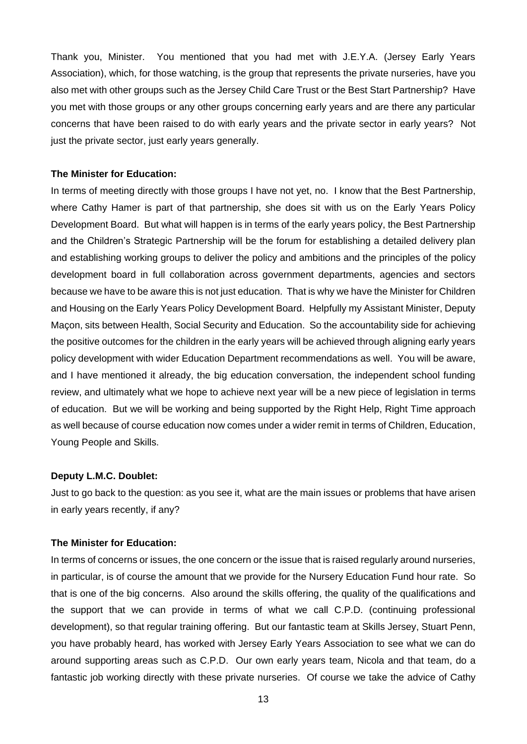Thank you, Minister. You mentioned that you had met with J.E.Y.A. (Jersey Early Years Association), which, for those watching, is the group that represents the private nurseries, have you also met with other groups such as the Jersey Child Care Trust or the Best Start Partnership? Have you met with those groups or any other groups concerning early years and are there any particular concerns that have been raised to do with early years and the private sector in early years? Not just the private sector, just early years generally.

#### **The Minister for Education:**

In terms of meeting directly with those groups I have not yet, no. I know that the Best Partnership, where Cathy Hamer is part of that partnership, she does sit with us on the Early Years Policy Development Board. But what will happen is in terms of the early years policy, the Best Partnership and the Children's Strategic Partnership will be the forum for establishing a detailed delivery plan and establishing working groups to deliver the policy and ambitions and the principles of the policy development board in full collaboration across government departments, agencies and sectors because we have to be aware this is not just education. That is why we have the Minister for Children and Housing on the Early Years Policy Development Board. Helpfully my Assistant Minister, Deputy Maçon, sits between Health, Social Security and Education. So the accountability side for achieving the positive outcomes for the children in the early years will be achieved through aligning early years policy development with wider Education Department recommendations as well. You will be aware, and I have mentioned it already, the big education conversation, the independent school funding review, and ultimately what we hope to achieve next year will be a new piece of legislation in terms of education. But we will be working and being supported by the Right Help, Right Time approach as well because of course education now comes under a wider remit in terms of Children, Education, Young People and Skills.

#### **Deputy L.M.C. Doublet:**

Just to go back to the question: as you see it, what are the main issues or problems that have arisen in early years recently, if any?

#### **The Minister for Education:**

In terms of concerns or issues, the one concern or the issue that is raised regularly around nurseries, in particular, is of course the amount that we provide for the Nursery Education Fund hour rate. So that is one of the big concerns. Also around the skills offering, the quality of the qualifications and the support that we can provide in terms of what we call C.P.D. (continuing professional development), so that regular training offering. But our fantastic team at Skills Jersey, Stuart Penn, you have probably heard, has worked with Jersey Early Years Association to see what we can do around supporting areas such as C.P.D. Our own early years team, Nicola and that team, do a fantastic job working directly with these private nurseries. Of course we take the advice of Cathy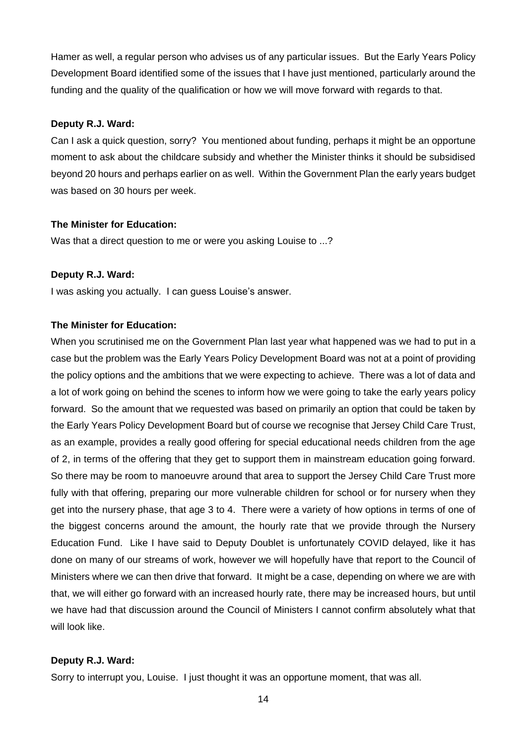Hamer as well, a regular person who advises us of any particular issues. But the Early Years Policy Development Board identified some of the issues that I have just mentioned, particularly around the funding and the quality of the qualification or how we will move forward with regards to that.

#### **Deputy R.J. Ward:**

Can I ask a quick question, sorry? You mentioned about funding, perhaps it might be an opportune moment to ask about the childcare subsidy and whether the Minister thinks it should be subsidised beyond 20 hours and perhaps earlier on as well. Within the Government Plan the early years budget was based on 30 hours per week.

## **The Minister for Education:**

Was that a direct question to me or were you asking Louise to ...?

#### **Deputy R.J. Ward:**

I was asking you actually. I can guess Louise's answer.

## **The Minister for Education:**

When you scrutinised me on the Government Plan last year what happened was we had to put in a case but the problem was the Early Years Policy Development Board was not at a point of providing the policy options and the ambitions that we were expecting to achieve. There was a lot of data and a lot of work going on behind the scenes to inform how we were going to take the early years policy forward. So the amount that we requested was based on primarily an option that could be taken by the Early Years Policy Development Board but of course we recognise that Jersey Child Care Trust, as an example, provides a really good offering for special educational needs children from the age of 2, in terms of the offering that they get to support them in mainstream education going forward. So there may be room to manoeuvre around that area to support the Jersey Child Care Trust more fully with that offering, preparing our more vulnerable children for school or for nursery when they get into the nursery phase, that age 3 to 4. There were a variety of how options in terms of one of the biggest concerns around the amount, the hourly rate that we provide through the Nursery Education Fund. Like I have said to Deputy Doublet is unfortunately COVID delayed, like it has done on many of our streams of work, however we will hopefully have that report to the Council of Ministers where we can then drive that forward. It might be a case, depending on where we are with that, we will either go forward with an increased hourly rate, there may be increased hours, but until we have had that discussion around the Council of Ministers I cannot confirm absolutely what that will look like.

## **Deputy R.J. Ward:**

Sorry to interrupt you, Louise. I just thought it was an opportune moment, that was all.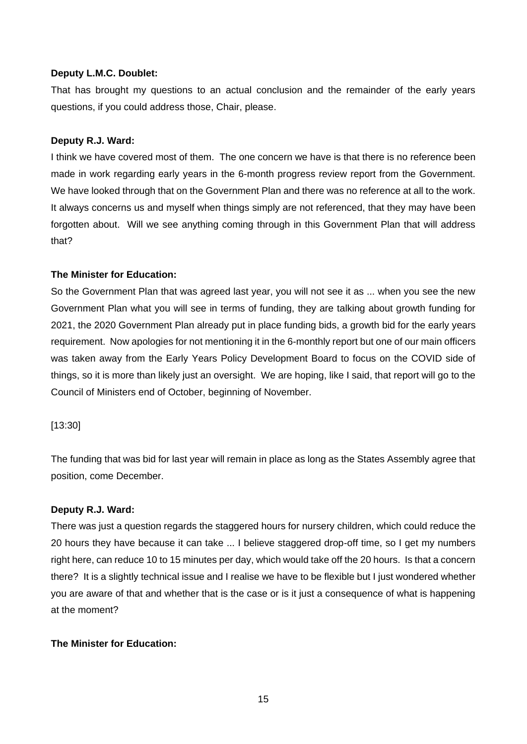## **Deputy L.M.C. Doublet:**

That has brought my questions to an actual conclusion and the remainder of the early years questions, if you could address those, Chair, please.

## **Deputy R.J. Ward:**

I think we have covered most of them. The one concern we have is that there is no reference been made in work regarding early years in the 6-month progress review report from the Government. We have looked through that on the Government Plan and there was no reference at all to the work. It always concerns us and myself when things simply are not referenced, that they may have been forgotten about. Will we see anything coming through in this Government Plan that will address that?

## **The Minister for Education:**

So the Government Plan that was agreed last year, you will not see it as ... when you see the new Government Plan what you will see in terms of funding, they are talking about growth funding for 2021, the 2020 Government Plan already put in place funding bids, a growth bid for the early years requirement. Now apologies for not mentioning it in the 6-monthly report but one of our main officers was taken away from the Early Years Policy Development Board to focus on the COVID side of things, so it is more than likely just an oversight. We are hoping, like I said, that report will go to the Council of Ministers end of October, beginning of November.

## [13:30]

The funding that was bid for last year will remain in place as long as the States Assembly agree that position, come December.

## **Deputy R.J. Ward:**

There was just a question regards the staggered hours for nursery children, which could reduce the 20 hours they have because it can take ... I believe staggered drop-off time, so I get my numbers right here, can reduce 10 to 15 minutes per day, which would take off the 20 hours. Is that a concern there? It is a slightly technical issue and I realise we have to be flexible but I just wondered whether you are aware of that and whether that is the case or is it just a consequence of what is happening at the moment?

## **The Minister for Education:**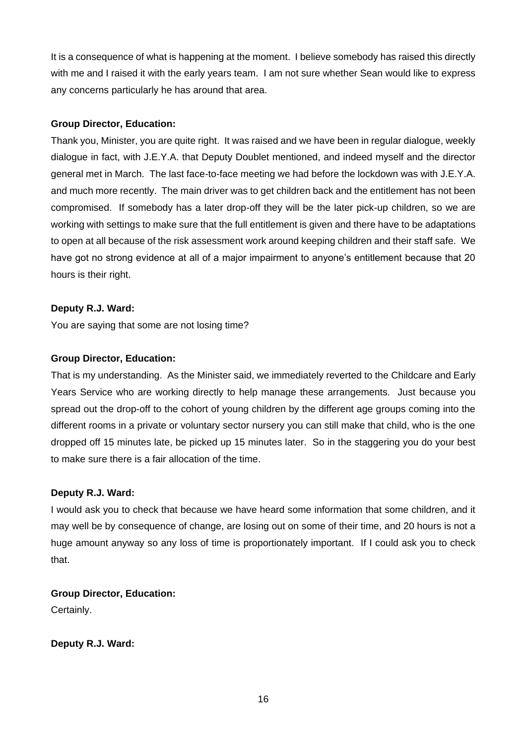It is a consequence of what is happening at the moment. I believe somebody has raised this directly with me and I raised it with the early years team. I am not sure whether Sean would like to express any concerns particularly he has around that area.

## **Group Director, Education:**

Thank you, Minister, you are quite right. It was raised and we have been in regular dialogue, weekly dialogue in fact, with J.E.Y.A. that Deputy Doublet mentioned, and indeed myself and the director general met in March. The last face-to-face meeting we had before the lockdown was with J.E.Y.A. and much more recently. The main driver was to get children back and the entitlement has not been compromised. If somebody has a later drop-off they will be the later pick-up children, so we are working with settings to make sure that the full entitlement is given and there have to be adaptations to open at all because of the risk assessment work around keeping children and their staff safe. We have got no strong evidence at all of a major impairment to anyone's entitlement because that 20 hours is their right.

## **Deputy R.J. Ward:**

You are saying that some are not losing time?

## **Group Director, Education:**

That is my understanding. As the Minister said, we immediately reverted to the Childcare and Early Years Service who are working directly to help manage these arrangements. Just because you spread out the drop-off to the cohort of young children by the different age groups coming into the different rooms in a private or voluntary sector nursery you can still make that child, who is the one dropped off 15 minutes late, be picked up 15 minutes later. So in the staggering you do your best to make sure there is a fair allocation of the time.

## **Deputy R.J. Ward:**

I would ask you to check that because we have heard some information that some children, and it may well be by consequence of change, are losing out on some of their time, and 20 hours is not a huge amount anyway so any loss of time is proportionately important. If I could ask you to check that.

**Group Director, Education:** Certainly.

**Deputy R.J. Ward:**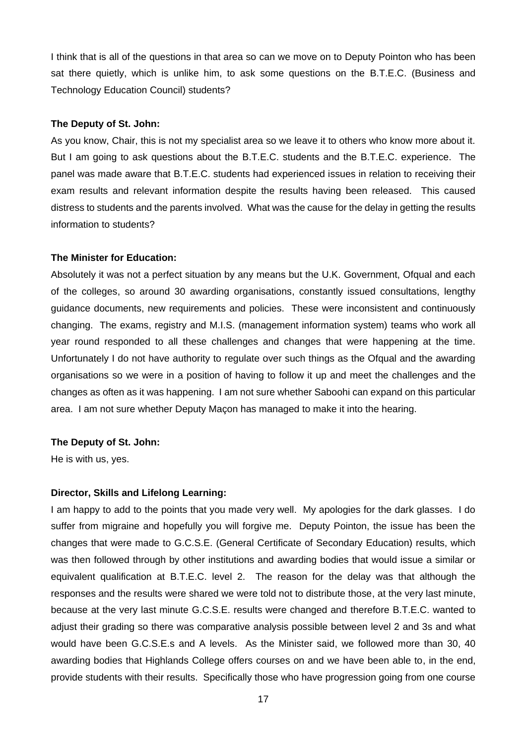I think that is all of the questions in that area so can we move on to Deputy Pointon who has been sat there quietly, which is unlike him, to ask some questions on the B.T.E.C. (Business and Technology Education Council) students?

#### **The Deputy of St. John:**

As you know, Chair, this is not my specialist area so we leave it to others who know more about it. But I am going to ask questions about the B.T.E.C. students and the B.T.E.C. experience. The panel was made aware that B.T.E.C. students had experienced issues in relation to receiving their exam results and relevant information despite the results having been released. This caused distress to students and the parents involved. What was the cause for the delay in getting the results information to students?

#### **The Minister for Education:**

Absolutely it was not a perfect situation by any means but the U.K. Government, Ofqual and each of the colleges, so around 30 awarding organisations, constantly issued consultations, lengthy guidance documents, new requirements and policies. These were inconsistent and continuously changing. The exams, registry and M.I.S. (management information system) teams who work all year round responded to all these challenges and changes that were happening at the time. Unfortunately I do not have authority to regulate over such things as the Ofqual and the awarding organisations so we were in a position of having to follow it up and meet the challenges and the changes as often as it was happening. I am not sure whether Saboohi can expand on this particular area. I am not sure whether Deputy Maçon has managed to make it into the hearing.

#### **The Deputy of St. John:**

He is with us, yes.

## **Director, Skills and Lifelong Learning:**

I am happy to add to the points that you made very well. My apologies for the dark glasses. I do suffer from migraine and hopefully you will forgive me. Deputy Pointon, the issue has been the changes that were made to G.C.S.E. (General Certificate of Secondary Education) results, which was then followed through by other institutions and awarding bodies that would issue a similar or equivalent qualification at B.T.E.C. level 2. The reason for the delay was that although the responses and the results were shared we were told not to distribute those, at the very last minute, because at the very last minute G.C.S.E. results were changed and therefore B.T.E.C. wanted to adjust their grading so there was comparative analysis possible between level 2 and 3s and what would have been G.C.S.E.s and A levels. As the Minister said, we followed more than 30, 40 awarding bodies that Highlands College offers courses on and we have been able to, in the end, provide students with their results. Specifically those who have progression going from one course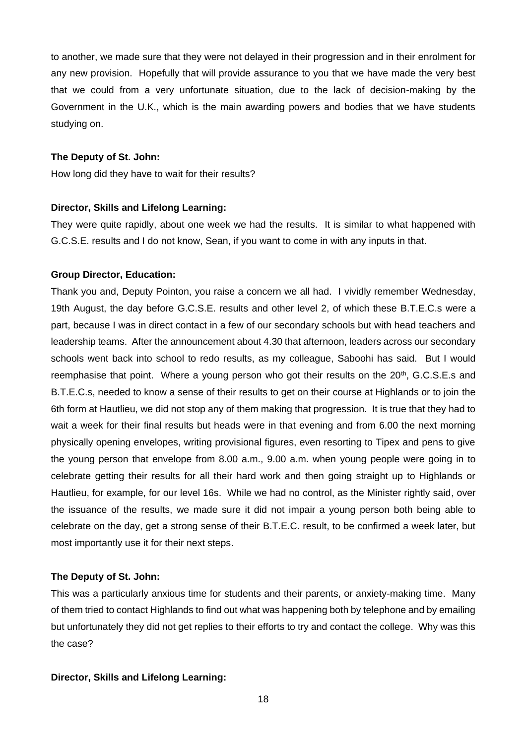to another, we made sure that they were not delayed in their progression and in their enrolment for any new provision. Hopefully that will provide assurance to you that we have made the very best that we could from a very unfortunate situation, due to the lack of decision-making by the Government in the U.K., which is the main awarding powers and bodies that we have students studying on.

#### **The Deputy of St. John:**

How long did they have to wait for their results?

## **Director, Skills and Lifelong Learning:**

They were quite rapidly, about one week we had the results. It is similar to what happened with G.C.S.E. results and I do not know, Sean, if you want to come in with any inputs in that.

## **Group Director, Education:**

Thank you and, Deputy Pointon, you raise a concern we all had. I vividly remember Wednesday, 19th August, the day before G.C.S.E. results and other level 2, of which these B.T.E.C.s were a part, because I was in direct contact in a few of our secondary schools but with head teachers and leadership teams. After the announcement about 4.30 that afternoon, leaders across our secondary schools went back into school to redo results, as my colleague, Saboohi has said. But I would reemphasise that point. Where a young person who got their results on the  $20<sup>th</sup>$ , G.C.S.E.s and B.T.E.C.s, needed to know a sense of their results to get on their course at Highlands or to join the 6th form at Hautlieu, we did not stop any of them making that progression. It is true that they had to wait a week for their final results but heads were in that evening and from 6.00 the next morning physically opening envelopes, writing provisional figures, even resorting to Tipex and pens to give the young person that envelope from 8.00 a.m., 9.00 a.m. when young people were going in to celebrate getting their results for all their hard work and then going straight up to Highlands or Hautlieu, for example, for our level 16s. While we had no control, as the Minister rightly said, over the issuance of the results, we made sure it did not impair a young person both being able to celebrate on the day, get a strong sense of their B.T.E.C. result, to be confirmed a week later, but most importantly use it for their next steps.

## **The Deputy of St. John:**

This was a particularly anxious time for students and their parents, or anxiety-making time. Many of them tried to contact Highlands to find out what was happening both by telephone and by emailing but unfortunately they did not get replies to their efforts to try and contact the college. Why was this the case?

#### **Director, Skills and Lifelong Learning:**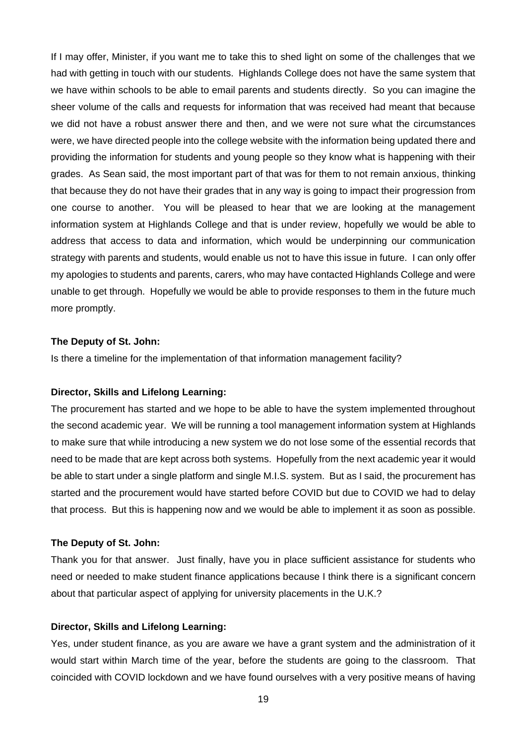If I may offer, Minister, if you want me to take this to shed light on some of the challenges that we had with getting in touch with our students. Highlands College does not have the same system that we have within schools to be able to email parents and students directly. So you can imagine the sheer volume of the calls and requests for information that was received had meant that because we did not have a robust answer there and then, and we were not sure what the circumstances were, we have directed people into the college website with the information being updated there and providing the information for students and young people so they know what is happening with their grades. As Sean said, the most important part of that was for them to not remain anxious, thinking that because they do not have their grades that in any way is going to impact their progression from one course to another. You will be pleased to hear that we are looking at the management information system at Highlands College and that is under review, hopefully we would be able to address that access to data and information, which would be underpinning our communication strategy with parents and students, would enable us not to have this issue in future. I can only offer my apologies to students and parents, carers, who may have contacted Highlands College and were unable to get through. Hopefully we would be able to provide responses to them in the future much more promptly.

#### **The Deputy of St. John:**

Is there a timeline for the implementation of that information management facility?

## **Director, Skills and Lifelong Learning:**

The procurement has started and we hope to be able to have the system implemented throughout the second academic year. We will be running a tool management information system at Highlands to make sure that while introducing a new system we do not lose some of the essential records that need to be made that are kept across both systems. Hopefully from the next academic year it would be able to start under a single platform and single M.I.S. system. But as I said, the procurement has started and the procurement would have started before COVID but due to COVID we had to delay that process. But this is happening now and we would be able to implement it as soon as possible.

## **The Deputy of St. John:**

Thank you for that answer. Just finally, have you in place sufficient assistance for students who need or needed to make student finance applications because I think there is a significant concern about that particular aspect of applying for university placements in the U.K.?

## **Director, Skills and Lifelong Learning:**

Yes, under student finance, as you are aware we have a grant system and the administration of it would start within March time of the year, before the students are going to the classroom. That coincided with COVID lockdown and we have found ourselves with a very positive means of having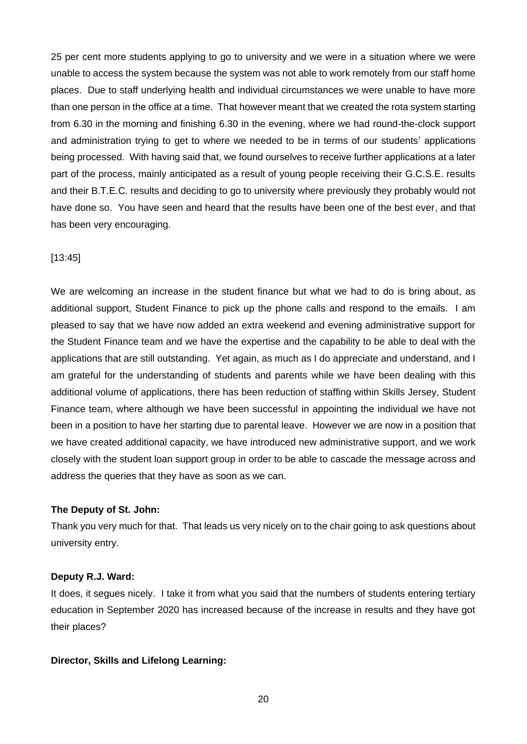25 per cent more students applying to go to university and we were in a situation where we were unable to access the system because the system was not able to work remotely from our staff home places. Due to staff underlying health and individual circumstances we were unable to have more than one person in the office at a time. That however meant that we created the rota system starting from 6.30 in the morning and finishing 6.30 in the evening, where we had round-the-clock support and administration trying to get to where we needed to be in terms of our students' applications being processed. With having said that, we found ourselves to receive further applications at a later part of the process, mainly anticipated as a result of young people receiving their G.C.S.E. results and their B.T.E.C. results and deciding to go to university where previously they probably would not have done so. You have seen and heard that the results have been one of the best ever, and that has been very encouraging.

## [13:45]

We are welcoming an increase in the student finance but what we had to do is bring about, as additional support, Student Finance to pick up the phone calls and respond to the emails. I am pleased to say that we have now added an extra weekend and evening administrative support for the Student Finance team and we have the expertise and the capability to be able to deal with the applications that are still outstanding. Yet again, as much as I do appreciate and understand, and I am grateful for the understanding of students and parents while we have been dealing with this additional volume of applications, there has been reduction of staffing within Skills Jersey, Student Finance team, where although we have been successful in appointing the individual we have not been in a position to have her starting due to parental leave. However we are now in a position that we have created additional capacity, we have introduced new administrative support, and we work closely with the student loan support group in order to be able to cascade the message across and address the queries that they have as soon as we can.

## **The Deputy of St. John:**

Thank you very much for that. That leads us very nicely on to the chair going to ask questions about university entry.

## **Deputy R.J. Ward:**

It does, it segues nicely. I take it from what you said that the numbers of students entering tertiary education in September 2020 has increased because of the increase in results and they have got their places?

#### **Director, Skills and Lifelong Learning:**

20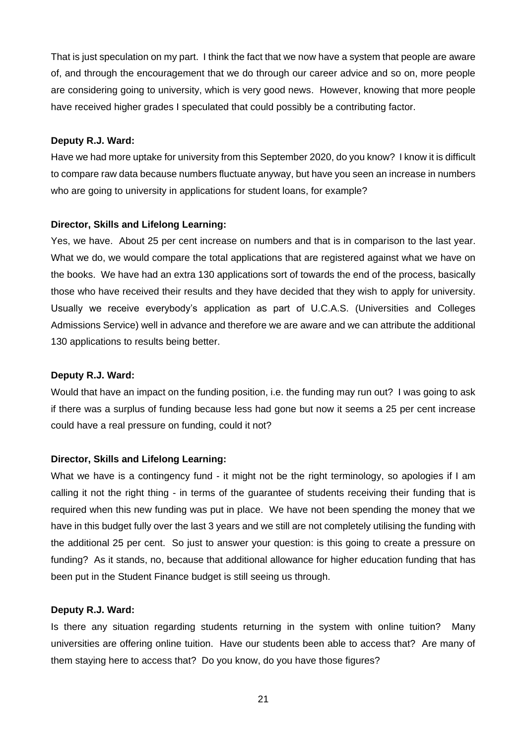That is just speculation on my part. I think the fact that we now have a system that people are aware of, and through the encouragement that we do through our career advice and so on, more people are considering going to university, which is very good news. However, knowing that more people have received higher grades I speculated that could possibly be a contributing factor.

## **Deputy R.J. Ward:**

Have we had more uptake for university from this September 2020, do you know? I know it is difficult to compare raw data because numbers fluctuate anyway, but have you seen an increase in numbers who are going to university in applications for student loans, for example?

## **Director, Skills and Lifelong Learning:**

Yes, we have. About 25 per cent increase on numbers and that is in comparison to the last year. What we do, we would compare the total applications that are registered against what we have on the books. We have had an extra 130 applications sort of towards the end of the process, basically those who have received their results and they have decided that they wish to apply for university. Usually we receive everybody's application as part of U.C.A.S. (Universities and Colleges Admissions Service) well in advance and therefore we are aware and we can attribute the additional 130 applications to results being better.

## **Deputy R.J. Ward:**

Would that have an impact on the funding position, i.e. the funding may run out? I was going to ask if there was a surplus of funding because less had gone but now it seems a 25 per cent increase could have a real pressure on funding, could it not?

## **Director, Skills and Lifelong Learning:**

What we have is a contingency fund - it might not be the right terminology, so apologies if I am calling it not the right thing - in terms of the guarantee of students receiving their funding that is required when this new funding was put in place. We have not been spending the money that we have in this budget fully over the last 3 years and we still are not completely utilising the funding with the additional 25 per cent. So just to answer your question: is this going to create a pressure on funding? As it stands, no, because that additional allowance for higher education funding that has been put in the Student Finance budget is still seeing us through.

#### **Deputy R.J. Ward:**

Is there any situation regarding students returning in the system with online tuition? Many universities are offering online tuition. Have our students been able to access that? Are many of them staying here to access that? Do you know, do you have those figures?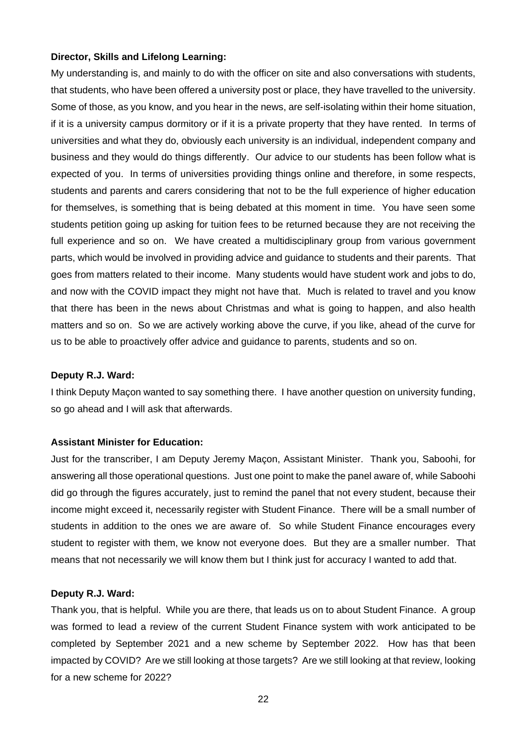## **Director, Skills and Lifelong Learning:**

My understanding is, and mainly to do with the officer on site and also conversations with students, that students, who have been offered a university post or place, they have travelled to the university. Some of those, as you know, and you hear in the news, are self-isolating within their home situation, if it is a university campus dormitory or if it is a private property that they have rented. In terms of universities and what they do, obviously each university is an individual, independent company and business and they would do things differently. Our advice to our students has been follow what is expected of you. In terms of universities providing things online and therefore, in some respects, students and parents and carers considering that not to be the full experience of higher education for themselves, is something that is being debated at this moment in time. You have seen some students petition going up asking for tuition fees to be returned because they are not receiving the full experience and so on. We have created a multidisciplinary group from various government parts, which would be involved in providing advice and guidance to students and their parents. That goes from matters related to their income. Many students would have student work and jobs to do, and now with the COVID impact they might not have that. Much is related to travel and you know that there has been in the news about Christmas and what is going to happen, and also health matters and so on. So we are actively working above the curve, if you like, ahead of the curve for us to be able to proactively offer advice and guidance to parents, students and so on.

#### **Deputy R.J. Ward:**

I think Deputy Maçon wanted to say something there. I have another question on university funding, so go ahead and I will ask that afterwards.

## **Assistant Minister for Education:**

Just for the transcriber, I am Deputy Jeremy Maçon, Assistant Minister. Thank you, Saboohi, for answering all those operational questions. Just one point to make the panel aware of, while Saboohi did go through the figures accurately, just to remind the panel that not every student, because their income might exceed it, necessarily register with Student Finance. There will be a small number of students in addition to the ones we are aware of. So while Student Finance encourages every student to register with them, we know not everyone does. But they are a smaller number. That means that not necessarily we will know them but I think just for accuracy I wanted to add that.

## **Deputy R.J. Ward:**

Thank you, that is helpful. While you are there, that leads us on to about Student Finance. A group was formed to lead a review of the current Student Finance system with work anticipated to be completed by September 2021 and a new scheme by September 2022. How has that been impacted by COVID? Are we still looking at those targets? Are we still looking at that review, looking for a new scheme for 2022?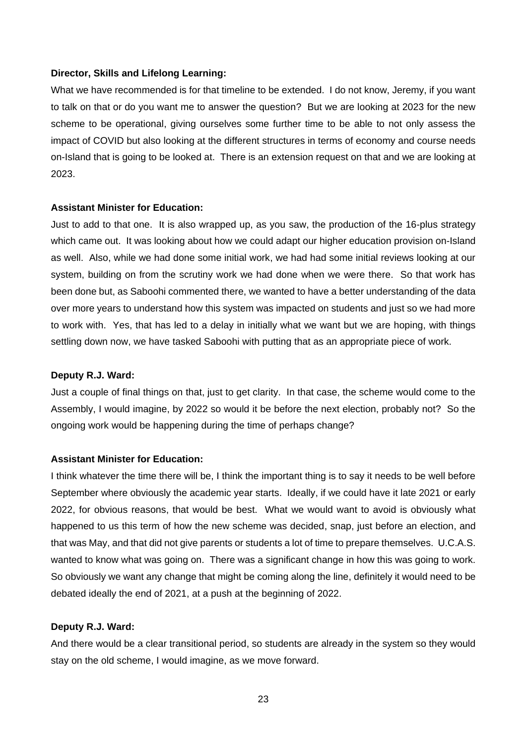#### **Director, Skills and Lifelong Learning:**

What we have recommended is for that timeline to be extended. I do not know, Jeremy, if you want to talk on that or do you want me to answer the question? But we are looking at 2023 for the new scheme to be operational, giving ourselves some further time to be able to not only assess the impact of COVID but also looking at the different structures in terms of economy and course needs on-Island that is going to be looked at. There is an extension request on that and we are looking at 2023.

#### **Assistant Minister for Education:**

Just to add to that one. It is also wrapped up, as you saw, the production of the 16-plus strategy which came out. It was looking about how we could adapt our higher education provision on-Island as well. Also, while we had done some initial work, we had had some initial reviews looking at our system, building on from the scrutiny work we had done when we were there. So that work has been done but, as Saboohi commented there, we wanted to have a better understanding of the data over more years to understand how this system was impacted on students and just so we had more to work with. Yes, that has led to a delay in initially what we want but we are hoping, with things settling down now, we have tasked Saboohi with putting that as an appropriate piece of work.

#### **Deputy R.J. Ward:**

Just a couple of final things on that, just to get clarity. In that case, the scheme would come to the Assembly, I would imagine, by 2022 so would it be before the next election, probably not? So the ongoing work would be happening during the time of perhaps change?

## **Assistant Minister for Education:**

I think whatever the time there will be, I think the important thing is to say it needs to be well before September where obviously the academic year starts. Ideally, if we could have it late 2021 or early 2022, for obvious reasons, that would be best. What we would want to avoid is obviously what happened to us this term of how the new scheme was decided, snap, just before an election, and that was May, and that did not give parents or students a lot of time to prepare themselves. U.C.A.S. wanted to know what was going on. There was a significant change in how this was going to work. So obviously we want any change that might be coming along the line, definitely it would need to be debated ideally the end of 2021, at a push at the beginning of 2022.

#### **Deputy R.J. Ward:**

And there would be a clear transitional period, so students are already in the system so they would stay on the old scheme, I would imagine, as we move forward.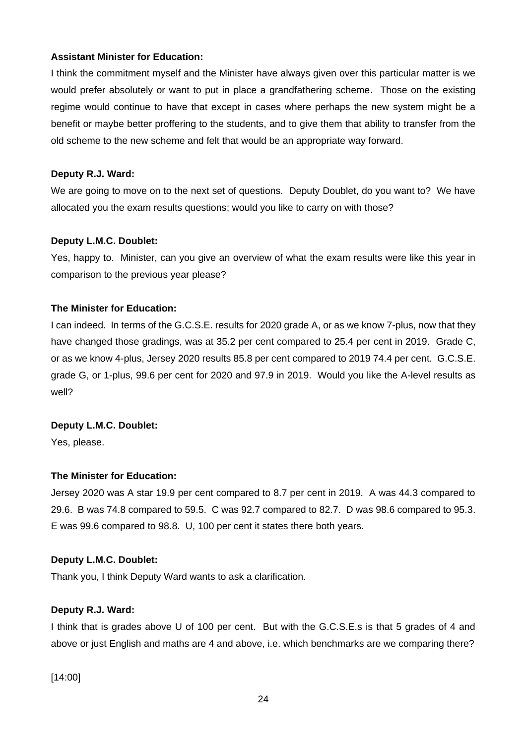## **Assistant Minister for Education:**

I think the commitment myself and the Minister have always given over this particular matter is we would prefer absolutely or want to put in place a grandfathering scheme. Those on the existing regime would continue to have that except in cases where perhaps the new system might be a benefit or maybe better proffering to the students, and to give them that ability to transfer from the old scheme to the new scheme and felt that would be an appropriate way forward.

## **Deputy R.J. Ward:**

We are going to move on to the next set of questions. Deputy Doublet, do you want to? We have allocated you the exam results questions; would you like to carry on with those?

## **Deputy L.M.C. Doublet:**

Yes, happy to. Minister, can you give an overview of what the exam results were like this year in comparison to the previous year please?

## **The Minister for Education:**

I can indeed. In terms of the G.C.S.E. results for 2020 grade A, or as we know 7-plus, now that they have changed those gradings, was at 35.2 per cent compared to 25.4 per cent in 2019. Grade C, or as we know 4-plus, Jersey 2020 results 85.8 per cent compared to 2019 74.4 per cent. G.C.S.E. grade G, or 1-plus, 99.6 per cent for 2020 and 97.9 in 2019. Would you like the A-level results as well?

## **Deputy L.M.C. Doublet:**

Yes, please.

## **The Minister for Education:**

Jersey 2020 was A star 19.9 per cent compared to 8.7 per cent in 2019. A was 44.3 compared to 29.6. B was 74.8 compared to 59.5. C was 92.7 compared to 82.7. D was 98.6 compared to 95.3. E was 99.6 compared to 98.8. U, 100 per cent it states there both years.

## **Deputy L.M.C. Doublet:**

Thank you, I think Deputy Ward wants to ask a clarification.

## **Deputy R.J. Ward:**

I think that is grades above U of 100 per cent. But with the G.C.S.E.s is that 5 grades of 4 and above or just English and maths are 4 and above, i.e. which benchmarks are we comparing there?

[14:00]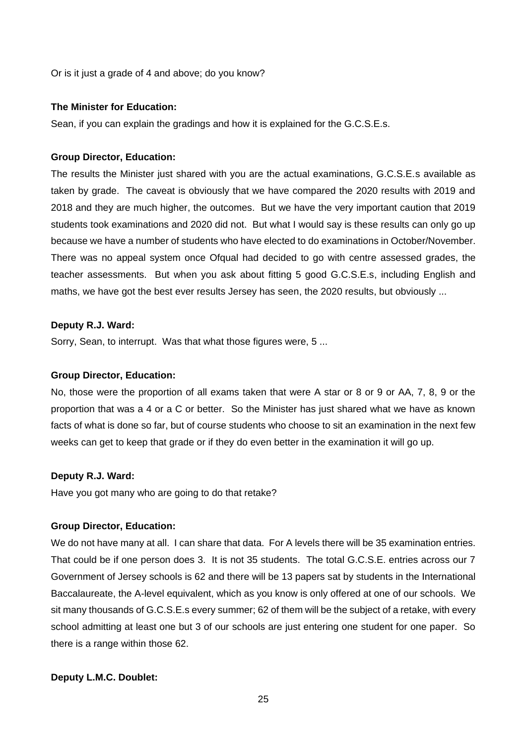Or is it just a grade of 4 and above; do you know?

### **The Minister for Education:**

Sean, if you can explain the gradings and how it is explained for the G.C.S.E.s.

#### **Group Director, Education:**

The results the Minister just shared with you are the actual examinations, G.C.S.E.s available as taken by grade. The caveat is obviously that we have compared the 2020 results with 2019 and 2018 and they are much higher, the outcomes. But we have the very important caution that 2019 students took examinations and 2020 did not. But what I would say is these results can only go up because we have a number of students who have elected to do examinations in October/November. There was no appeal system once Ofqual had decided to go with centre assessed grades, the teacher assessments. But when you ask about fitting 5 good G.C.S.E.s, including English and maths, we have got the best ever results Jersey has seen, the 2020 results, but obviously ...

## **Deputy R.J. Ward:**

Sorry, Sean, to interrupt. Was that what those figures were, 5 ...

#### **Group Director, Education:**

No, those were the proportion of all exams taken that were A star or 8 or 9 or AA, 7, 8, 9 or the proportion that was a 4 or a C or better. So the Minister has just shared what we have as known facts of what is done so far, but of course students who choose to sit an examination in the next few weeks can get to keep that grade or if they do even better in the examination it will go up.

#### **Deputy R.J. Ward:**

Have you got many who are going to do that retake?

## **Group Director, Education:**

We do not have many at all. I can share that data. For A levels there will be 35 examination entries. That could be if one person does 3. It is not 35 students. The total G.C.S.E. entries across our 7 Government of Jersey schools is 62 and there will be 13 papers sat by students in the International Baccalaureate, the A-level equivalent, which as you know is only offered at one of our schools. We sit many thousands of G.C.S.E.s every summer; 62 of them will be the subject of a retake, with every school admitting at least one but 3 of our schools are just entering one student for one paper. So there is a range within those 62.

## **Deputy L.M.C. Doublet:**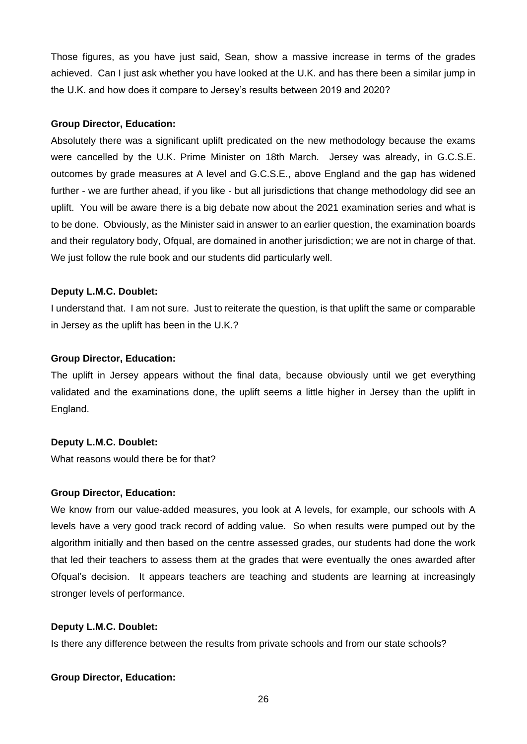Those figures, as you have just said, Sean, show a massive increase in terms of the grades achieved. Can I just ask whether you have looked at the U.K. and has there been a similar jump in the U.K. and how does it compare to Jersey's results between 2019 and 2020?

### **Group Director, Education:**

Absolutely there was a significant uplift predicated on the new methodology because the exams were cancelled by the U.K. Prime Minister on 18th March. Jersey was already, in G.C.S.E. outcomes by grade measures at A level and G.C.S.E., above England and the gap has widened further - we are further ahead, if you like - but all jurisdictions that change methodology did see an uplift. You will be aware there is a big debate now about the 2021 examination series and what is to be done. Obviously, as the Minister said in answer to an earlier question, the examination boards and their regulatory body, Ofqual, are domained in another jurisdiction; we are not in charge of that. We just follow the rule book and our students did particularly well.

#### **Deputy L.M.C. Doublet:**

I understand that. I am not sure. Just to reiterate the question, is that uplift the same or comparable in Jersey as the uplift has been in the U.K.?

## **Group Director, Education:**

The uplift in Jersey appears without the final data, because obviously until we get everything validated and the examinations done, the uplift seems a little higher in Jersey than the uplift in England.

#### **Deputy L.M.C. Doublet:**

What reasons would there be for that?

#### **Group Director, Education:**

We know from our value-added measures, you look at A levels, for example, our schools with A levels have a very good track record of adding value. So when results were pumped out by the algorithm initially and then based on the centre assessed grades, our students had done the work that led their teachers to assess them at the grades that were eventually the ones awarded after Ofqual's decision. It appears teachers are teaching and students are learning at increasingly stronger levels of performance.

## **Deputy L.M.C. Doublet:**

Is there any difference between the results from private schools and from our state schools?

#### **Group Director, Education:**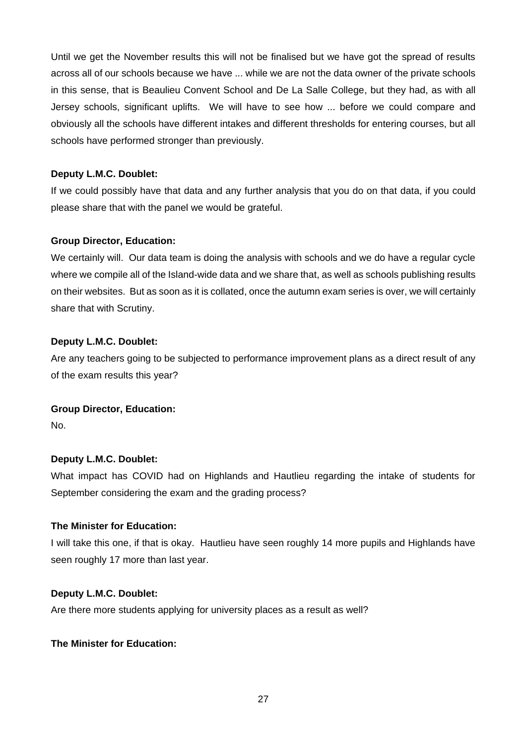Until we get the November results this will not be finalised but we have got the spread of results across all of our schools because we have ... while we are not the data owner of the private schools in this sense, that is Beaulieu Convent School and De La Salle College, but they had, as with all Jersey schools, significant uplifts. We will have to see how ... before we could compare and obviously all the schools have different intakes and different thresholds for entering courses, but all schools have performed stronger than previously.

## **Deputy L.M.C. Doublet:**

If we could possibly have that data and any further analysis that you do on that data, if you could please share that with the panel we would be grateful.

## **Group Director, Education:**

We certainly will. Our data team is doing the analysis with schools and we do have a regular cycle where we compile all of the Island-wide data and we share that, as well as schools publishing results on their websites. But as soon as it is collated, once the autumn exam series is over, we will certainly share that with Scrutiny.

## **Deputy L.M.C. Doublet:**

Are any teachers going to be subjected to performance improvement plans as a direct result of any of the exam results this year?

## **Group Director, Education:**

No.

## **Deputy L.M.C. Doublet:**

What impact has COVID had on Highlands and Hautlieu regarding the intake of students for September considering the exam and the grading process?

## **The Minister for Education:**

I will take this one, if that is okay. Hautlieu have seen roughly 14 more pupils and Highlands have seen roughly 17 more than last year.

## **Deputy L.M.C. Doublet:**

Are there more students applying for university places as a result as well?

## **The Minister for Education:**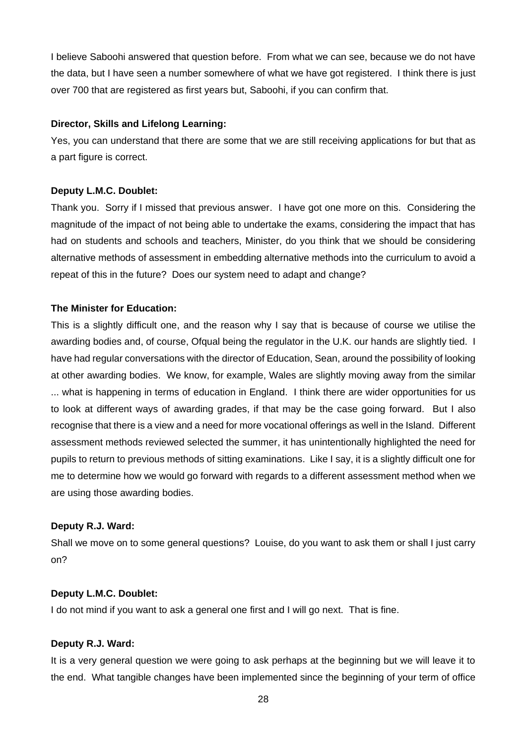I believe Saboohi answered that question before. From what we can see, because we do not have the data, but I have seen a number somewhere of what we have got registered. I think there is just over 700 that are registered as first years but, Saboohi, if you can confirm that.

## **Director, Skills and Lifelong Learning:**

Yes, you can understand that there are some that we are still receiving applications for but that as a part figure is correct.

## **Deputy L.M.C. Doublet:**

Thank you. Sorry if I missed that previous answer. I have got one more on this. Considering the magnitude of the impact of not being able to undertake the exams, considering the impact that has had on students and schools and teachers, Minister, do you think that we should be considering alternative methods of assessment in embedding alternative methods into the curriculum to avoid a repeat of this in the future? Does our system need to adapt and change?

## **The Minister for Education:**

This is a slightly difficult one, and the reason why I say that is because of course we utilise the awarding bodies and, of course, Ofqual being the regulator in the U.K. our hands are slightly tied. I have had regular conversations with the director of Education, Sean, around the possibility of looking at other awarding bodies. We know, for example, Wales are slightly moving away from the similar ... what is happening in terms of education in England. I think there are wider opportunities for us to look at different ways of awarding grades, if that may be the case going forward. But I also recognise that there is a view and a need for more vocational offerings as well in the Island. Different assessment methods reviewed selected the summer, it has unintentionally highlighted the need for pupils to return to previous methods of sitting examinations. Like I say, it is a slightly difficult one for me to determine how we would go forward with regards to a different assessment method when we are using those awarding bodies.

## **Deputy R.J. Ward:**

Shall we move on to some general questions? Louise, do you want to ask them or shall I just carry on?

## **Deputy L.M.C. Doublet:**

I do not mind if you want to ask a general one first and I will go next. That is fine.

## **Deputy R.J. Ward:**

It is a very general question we were going to ask perhaps at the beginning but we will leave it to the end. What tangible changes have been implemented since the beginning of your term of office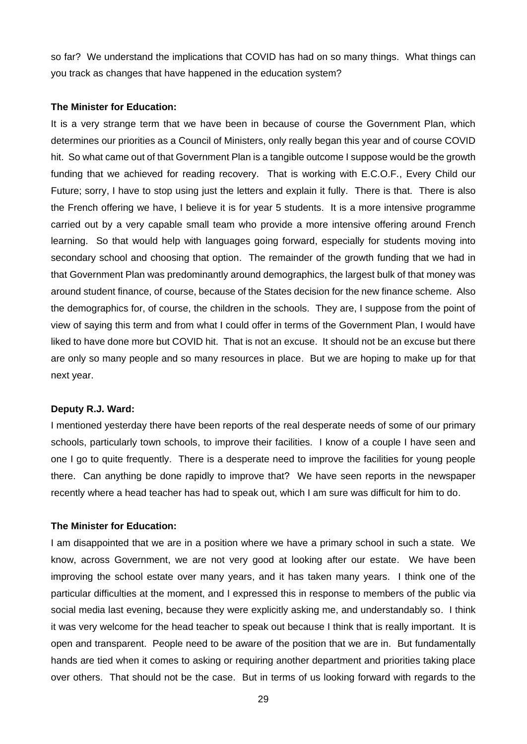so far? We understand the implications that COVID has had on so many things. What things can you track as changes that have happened in the education system?

#### **The Minister for Education:**

It is a very strange term that we have been in because of course the Government Plan, which determines our priorities as a Council of Ministers, only really began this year and of course COVID hit. So what came out of that Government Plan is a tangible outcome I suppose would be the growth funding that we achieved for reading recovery. That is working with E.C.O.F., Every Child our Future; sorry, I have to stop using just the letters and explain it fully. There is that. There is also the French offering we have, I believe it is for year 5 students. It is a more intensive programme carried out by a very capable small team who provide a more intensive offering around French learning. So that would help with languages going forward, especially for students moving into secondary school and choosing that option. The remainder of the growth funding that we had in that Government Plan was predominantly around demographics, the largest bulk of that money was around student finance, of course, because of the States decision for the new finance scheme. Also the demographics for, of course, the children in the schools. They are, I suppose from the point of view of saying this term and from what I could offer in terms of the Government Plan, I would have liked to have done more but COVID hit. That is not an excuse. It should not be an excuse but there are only so many people and so many resources in place. But we are hoping to make up for that next year.

#### **Deputy R.J. Ward:**

I mentioned yesterday there have been reports of the real desperate needs of some of our primary schools, particularly town schools, to improve their facilities. I know of a couple I have seen and one I go to quite frequently. There is a desperate need to improve the facilities for young people there. Can anything be done rapidly to improve that? We have seen reports in the newspaper recently where a head teacher has had to speak out, which I am sure was difficult for him to do.

### **The Minister for Education:**

I am disappointed that we are in a position where we have a primary school in such a state. We know, across Government, we are not very good at looking after our estate. We have been improving the school estate over many years, and it has taken many years. I think one of the particular difficulties at the moment, and I expressed this in response to members of the public via social media last evening, because they were explicitly asking me, and understandably so. I think it was very welcome for the head teacher to speak out because I think that is really important. It is open and transparent. People need to be aware of the position that we are in. But fundamentally hands are tied when it comes to asking or requiring another department and priorities taking place over others. That should not be the case. But in terms of us looking forward with regards to the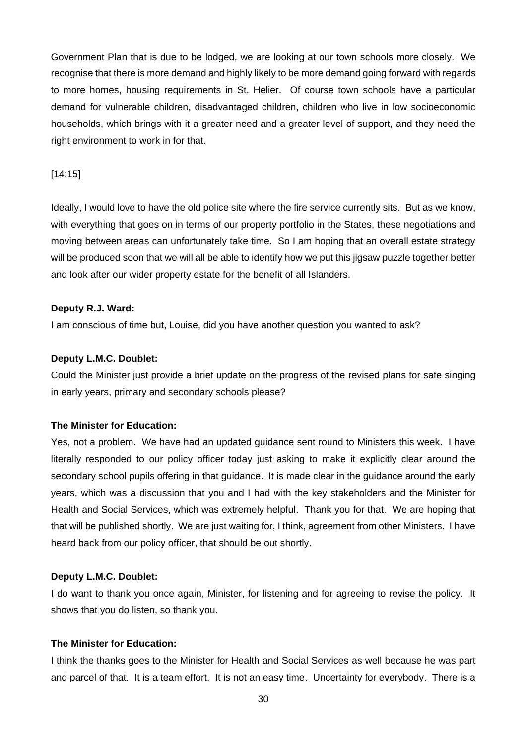Government Plan that is due to be lodged, we are looking at our town schools more closely. We recognise that there is more demand and highly likely to be more demand going forward with regards to more homes, housing requirements in St. Helier. Of course town schools have a particular demand for vulnerable children, disadvantaged children, children who live in low socioeconomic households, which brings with it a greater need and a greater level of support, and they need the right environment to work in for that.

## [14:15]

Ideally, I would love to have the old police site where the fire service currently sits. But as we know, with everything that goes on in terms of our property portfolio in the States, these negotiations and moving between areas can unfortunately take time. So I am hoping that an overall estate strategy will be produced soon that we will all be able to identify how we put this jigsaw puzzle together better and look after our wider property estate for the benefit of all Islanders.

## **Deputy R.J. Ward:**

I am conscious of time but, Louise, did you have another question you wanted to ask?

## **Deputy L.M.C. Doublet:**

Could the Minister just provide a brief update on the progress of the revised plans for safe singing in early years, primary and secondary schools please?

## **The Minister for Education:**

Yes, not a problem. We have had an updated guidance sent round to Ministers this week. I have literally responded to our policy officer today just asking to make it explicitly clear around the secondary school pupils offering in that guidance. It is made clear in the guidance around the early years, which was a discussion that you and I had with the key stakeholders and the Minister for Health and Social Services, which was extremely helpful. Thank you for that. We are hoping that that will be published shortly. We are just waiting for, I think, agreement from other Ministers. I have heard back from our policy officer, that should be out shortly.

## **Deputy L.M.C. Doublet:**

I do want to thank you once again, Minister, for listening and for agreeing to revise the policy. It shows that you do listen, so thank you.

## **The Minister for Education:**

I think the thanks goes to the Minister for Health and Social Services as well because he was part and parcel of that. It is a team effort. It is not an easy time. Uncertainty for everybody. There is a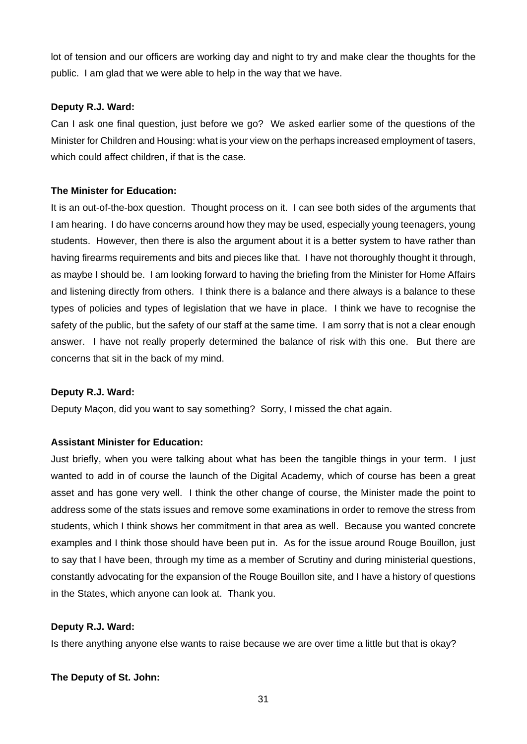lot of tension and our officers are working day and night to try and make clear the thoughts for the public. I am glad that we were able to help in the way that we have.

## **Deputy R.J. Ward:**

Can I ask one final question, just before we go? We asked earlier some of the questions of the Minister for Children and Housing: what is your view on the perhaps increased employment of tasers, which could affect children, if that is the case.

## **The Minister for Education:**

It is an out-of-the-box question. Thought process on it. I can see both sides of the arguments that I am hearing. I do have concerns around how they may be used, especially young teenagers, young students. However, then there is also the argument about it is a better system to have rather than having firearms requirements and bits and pieces like that. I have not thoroughly thought it through, as maybe I should be. I am looking forward to having the briefing from the Minister for Home Affairs and listening directly from others. I think there is a balance and there always is a balance to these types of policies and types of legislation that we have in place. I think we have to recognise the safety of the public, but the safety of our staff at the same time. I am sorry that is not a clear enough answer. I have not really properly determined the balance of risk with this one. But there are concerns that sit in the back of my mind.

## **Deputy R.J. Ward:**

Deputy Maçon, did you want to say something? Sorry, I missed the chat again.

## **Assistant Minister for Education:**

Just briefly, when you were talking about what has been the tangible things in your term. I just wanted to add in of course the launch of the Digital Academy, which of course has been a great asset and has gone very well. I think the other change of course, the Minister made the point to address some of the stats issues and remove some examinations in order to remove the stress from students, which I think shows her commitment in that area as well. Because you wanted concrete examples and I think those should have been put in. As for the issue around Rouge Bouillon, just to say that I have been, through my time as a member of Scrutiny and during ministerial questions, constantly advocating for the expansion of the Rouge Bouillon site, and I have a history of questions in the States, which anyone can look at. Thank you.

## **Deputy R.J. Ward:**

Is there anything anyone else wants to raise because we are over time a little but that is okay?

## **The Deputy of St. John:**